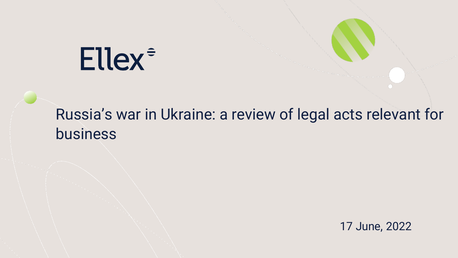# **Ellex<sup>=</sup>**

## Russia's war in Ukraine: a review of legal acts relevant for business

17 June, 2022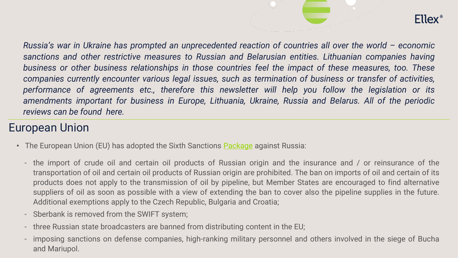### **Ellex<sup>=</sup>**

*Russia's war in Ukraine has prompted an [unprecedented](https://ellex.legal/#services) reaction of countries all over the world – economic sanctions and other restrictive measures to Russian and Belarusian entities. Lithuanian companies having business or other business relationships in those countries feel the impact of these measures, too. These companies currently encounter various legal issues, such as termination of business or transfer of activities, performance of agreements etc., therefore this newsletter will help you follow the legislation or its amendments important for business in Europe, Lithuania, Ukraine, Russia and Belarus. All of the periodic reviews can be found here.*

#### European Union

- The European Union (EU) has adopted the Sixth Sanctions [Package](https://eur-lex.europa.eu/legal-content/EN/TXT/PDF/?uri=OJ:L:2022:153:FULL&from=EN) against Russia:
	- the import of crude oil and certain oil products of Russian origin and the insurance and / or reinsurance of the transportation of oil and certain oil products of Russian origin are prohibited. The ban on imports of oil and certain of its products does not apply to the transmission of oil by pipeline, but Member States are encouraged to find alternative suppliers of oil as soon as possible with a view of extending the ban to cover also the pipeline supplies in the future. Additional exemptions apply to the Czech Republic, Bulgaria and Croatia;
	- Sberbank is removed from the SWIFT system;
	- three Russian state broadcasters are banned from distributing content in the EU;
	- imposing sanctions on defense companies, high-ranking military personnel and others involved in the siege of Bucha and Mariupol.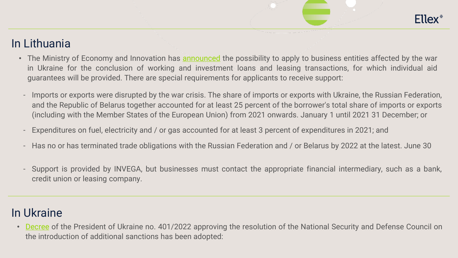

#### In Lithuania

- The Ministry of Economy and Innovation has [announced](https://ellex.legal/#services) the possibility to apply to business entities affected by the war in Ukraine for the conclusion of working and investment loans and leasing transactions, for which individual aid guarantees will be provided. There are special requirements for applicants to receive support:
- Imports or exports were disrupted by the war crisis. The share of imports or exports with Ukraine, the Russian Federation, and the Republic of Belarus together accounted for at least 25 percent of the borrower's total share of imports or exports (including with the Member States of the European Union) from 2021 onwards. January 1 until 2021 31 December; or
- Expenditures on fuel, electricity and / or gas accounted for at least 3 percent of expenditures in 2021; and
- Has no or has terminated trade obligations with the Russian Federation and / or Belarus by 2022 at the latest. June 30
- Support is provided by INVEGA, but businesses must contact the appropriate financial intermediary, such as a bank, credit union or leasing company.

#### In Ukraine

• [Decree](https://zakon.rada.gov.ua/laws/show/en/401/2022#Text) of the President of Ukraine no. 401/2022 approving the resolution of the National Security and Defense Council on the introduction of additional sanctions has been adopted: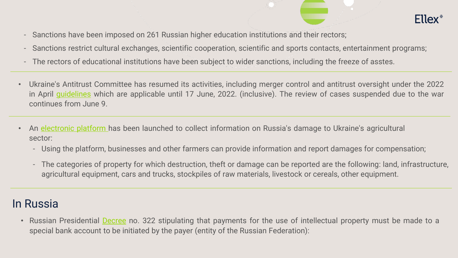

- Sanctions have been imposed on 261 Russian higher education institutions and their rectors;
- Sanctions restrict cultural exchanges, scientific cooperation, scientific and sports contacts, [entertainmen](https://ellex.legal/#services)t programs;
- The rectors of educational institutions have been subject to wider sanctions, including the freeze of asstes.
- Ukraine's Antitrust Committee has resumed its activities, including merger control and antitrust oversight under the 2022 in April [guidelines](https://uk.practicallaw.thomsonreuters.com/1-570-0010?transitionType=Default&contextData=(sc.Default)&firstPage=true) which are applicable until 17 June, 2022. (inclusive). The review of cases suspended due to the war continues from June 9.
- An [electronic](https://damagedagro.in.ua/) platform has been launched to collect information on Russia's damage to Ukraine's agricultural sector:
	- Using the platform, businesses and other farmers can provide information and report damages for compensation;
	- The categories of property for which destruction, theft or damage can be reported are the following: land, infrastructure, agricultural equipment, cars and trucks, stockpiles of raw materials, livestock or cereals, other equipment.

#### In Russia

• Russian Presidential **[Decree](https://cis-legislation.com/document.fwx?rgn=140698)** no. 322 stipulating that payments for the use of intellectual property must be made to a special bank account to be initiated by the payer (entity of the Russian Federation):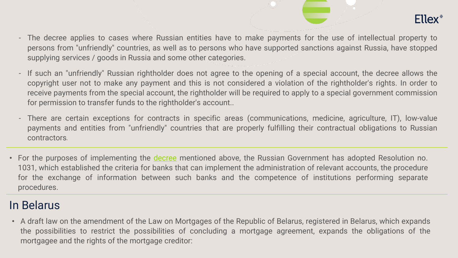

- The decree applies to cases where Russian entities have to make payments for the use of intellectual property to persons from "unfriendly" countries, as well as to persons who have supported sanctions against Russia, have stopped supplying services / goods in Russia and some other [categories.](https://ellex.legal/#services)
- If such an "unfriendly" Russian rightholder does not agree to the opening of a special account, the decree allows the copyright user not to make any payment and this is not considered a violation of the rightholder's rights. In order to receive payments from the special account, the rightholder will be required to apply to a special government commission for permission to transfer funds to the rightholder's account..
- There are certain exceptions for contracts in specific areas (communications, medicine, agriculture, IT), low-value payments and entities from "unfriendly" countries that are properly fulfilling their contractual obligations to Russian contractors.
- For the purposes of implementing the [decree](https://cis-legislation.com/document.fwx?rgn=140697) mentioned above, the Russian Government has adopted Resolution no. 1031, which established the criteria for banks that can implement the administration of relevant accounts, the procedure for the exchange of information between such banks and the competence of institutions performing separate procedures.

#### In Belarus

• A draft law on the amendment of the Law on Mortgages of the Republic of Belarus, registered in Belarus, which expands the possibilities to restrict the possibilities of concluding a mortgage agreement, expands the obligations of the mortgagee and the rights of the mortgage creditor: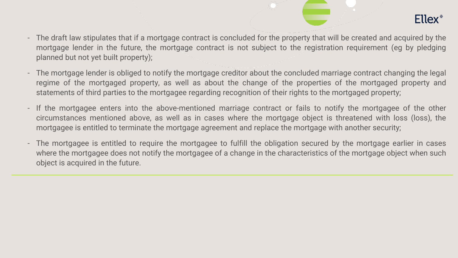

- The draft law stipulates that if a mortgage contract is concluded for the property that will be created and acquired by the mortgage lender in the future, the mortgage contract is not subject to the registration [requirement](https://ellex.legal/#services) (eg by pledging planned but not yet built property);
- The mortgage lender is obliged to notify the mortgage creditor about the concluded marriage contract changing the legal regime of the mortgaged property, as well as about the change of the properties of the mortgaged property and statements of third parties to the mortgagee regarding recognition of their rights to the mortgaged property;
- If the mortgagee enters into the above-mentioned marriage contract or fails to notify the mortgagee of the other circumstances mentioned above, as well as in cases where the mortgage object is threatened with loss (loss), the mortgagee is entitled to terminate the mortgage agreement and replace the mortgage with another security;
- The mortgagee is entitled to require the mortgagee to fulfill the obligation secured by the mortgage earlier in cases where the mortgagee does not notify the mortgagee of a change in the characteristics of the mortgage object when such object is acquired in the future.